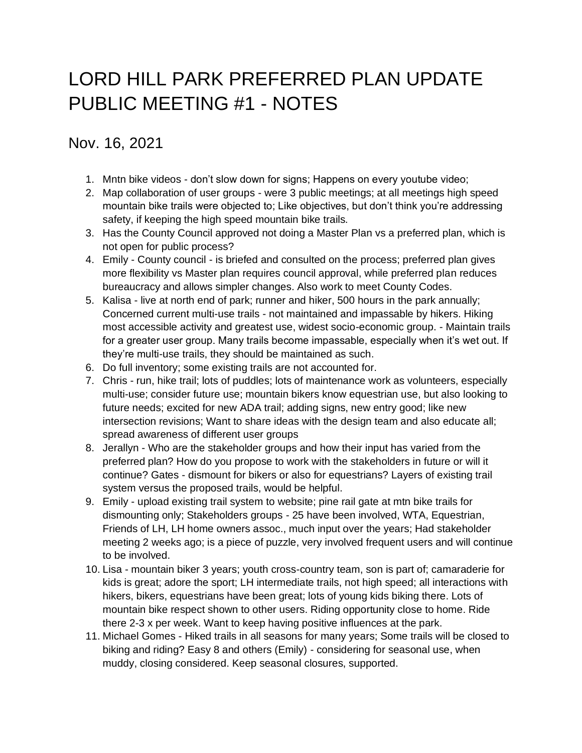## LORD HILL PARK PREFERRED PLAN UPDATE PUBLIC MEETING #1 - NOTES

## Nov. 16, 2021

- 1. Mntn bike videos don't slow down for signs; Happens on every youtube video;
- 2. Map collaboration of user groups were 3 public meetings; at all meetings high speed mountain bike trails were objected to; Like objectives, but don't think you're addressing safety, if keeping the high speed mountain bike trails.
- 3. Has the County Council approved not doing a Master Plan vs a preferred plan, which is not open for public process?
- 4. Emily County council is briefed and consulted on the process; preferred plan gives more flexibility vs Master plan requires council approval, while preferred plan reduces bureaucracy and allows simpler changes. Also work to meet County Codes.
- 5. Kalisa live at north end of park; runner and hiker, 500 hours in the park annually; Concerned current multi-use trails - not maintained and impassable by hikers. Hiking most accessible activity and greatest use, widest socio-economic group. - Maintain trails for a greater user group. Many trails become impassable, especially when it's wet out. If they're multi-use trails, they should be maintained as such.
- 6. Do full inventory; some existing trails are not accounted for.
- 7. Chris run, hike trail; lots of puddles; lots of maintenance work as volunteers, especially multi-use; consider future use; mountain bikers know equestrian use, but also looking to future needs; excited for new ADA trail; adding signs, new entry good; like new intersection revisions; Want to share ideas with the design team and also educate all; spread awareness of different user groups
- 8. Jerallyn Who are the stakeholder groups and how their input has varied from the preferred plan? How do you propose to work with the stakeholders in future or will it continue? Gates - dismount for bikers or also for equestrians? Layers of existing trail system versus the proposed trails, would be helpful.
- 9. Emily upload existing trail system to website; pine rail gate at mtn bike trails for dismounting only; Stakeholders groups - 25 have been involved, WTA, Equestrian, Friends of LH, LH home owners assoc., much input over the years; Had stakeholder meeting 2 weeks ago; is a piece of puzzle, very involved frequent users and will continue to be involved.
- 10. Lisa mountain biker 3 years; youth cross-country team, son is part of; camaraderie for kids is great; adore the sport; LH intermediate trails, not high speed; all interactions with hikers, bikers, equestrians have been great; lots of young kids biking there. Lots of mountain bike respect shown to other users. Riding opportunity close to home. Ride there 2-3 x per week. Want to keep having positive influences at the park.
- 11. Michael Gomes Hiked trails in all seasons for many years; Some trails will be closed to biking and riding? Easy 8 and others (Emily) - considering for seasonal use, when muddy, closing considered. Keep seasonal closures, supported.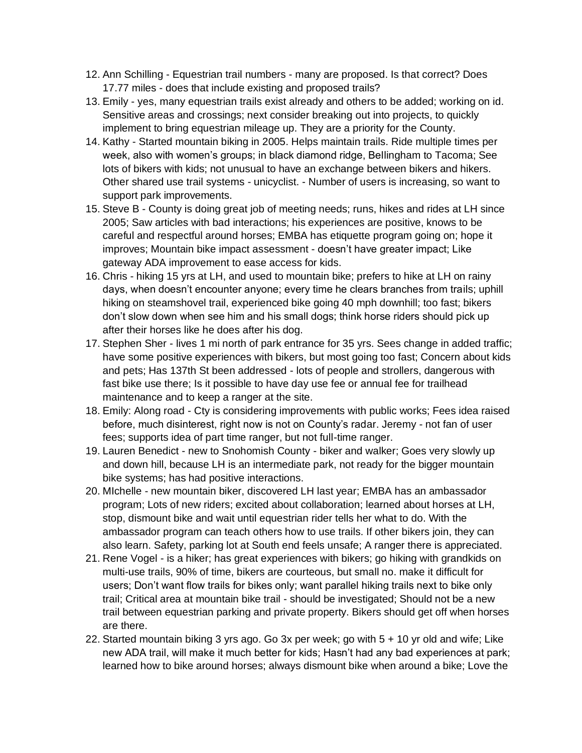- 12. Ann Schilling Equestrian trail numbers many are proposed. Is that correct? Does 17.77 miles - does that include existing and proposed trails?
- 13. Emily yes, many equestrian trails exist already and others to be added; working on id. Sensitive areas and crossings; next consider breaking out into projects, to quickly implement to bring equestrian mileage up. They are a priority for the County.
- 14. Kathy Started mountain biking in 2005. Helps maintain trails. Ride multiple times per week, also with women's groups; in black diamond ridge, Bellingham to Tacoma; See lots of bikers with kids; not unusual to have an exchange between bikers and hikers. Other shared use trail systems - unicyclist. - Number of users is increasing, so want to support park improvements.
- 15. Steve B County is doing great job of meeting needs; runs, hikes and rides at LH since 2005; Saw articles with bad interactions; his experiences are positive, knows to be careful and respectful around horses; EMBA has etiquette program going on; hope it improves; Mountain bike impact assessment - doesn't have greater impact; Like gateway ADA improvement to ease access for kids.
- 16. Chris hiking 15 yrs at LH, and used to mountain bike; prefers to hike at LH on rainy days, when doesn't encounter anyone; every time he clears branches from trails; uphill hiking on steamshovel trail, experienced bike going 40 mph downhill; too fast; bikers don't slow down when see him and his small dogs; think horse riders should pick up after their horses like he does after his dog.
- 17. Stephen Sher lives 1 mi north of park entrance for 35 yrs. Sees change in added traffic; have some positive experiences with bikers, but most going too fast; Concern about kids and pets; Has 137th St been addressed - lots of people and strollers, dangerous with fast bike use there; Is it possible to have day use fee or annual fee for trailhead maintenance and to keep a ranger at the site.
- 18. Emily: Along road Cty is considering improvements with public works; Fees idea raised before, much disinterest, right now is not on County's radar. Jeremy - not fan of user fees; supports idea of part time ranger, but not full-time ranger.
- 19. Lauren Benedict new to Snohomish County biker and walker; Goes very slowly up and down hill, because LH is an intermediate park, not ready for the bigger mountain bike systems; has had positive interactions.
- 20. MIchelle new mountain biker, discovered LH last year; EMBA has an ambassador program; Lots of new riders; excited about collaboration; learned about horses at LH, stop, dismount bike and wait until equestrian rider tells her what to do. With the ambassador program can teach others how to use trails. If other bikers join, they can also learn. Safety, parking lot at South end feels unsafe; A ranger there is appreciated.
- 21. Rene Vogel is a hiker; has great experiences with bikers; go hiking with grandkids on multi-use trails, 90% of time, bikers are courteous, but small no. make it difficult for users; Don't want flow trails for bikes only; want parallel hiking trails next to bike only trail; Critical area at mountain bike trail - should be investigated; Should not be a new trail between equestrian parking and private property. Bikers should get off when horses are there.
- 22. Started mountain biking 3 yrs ago. Go 3x per week; go with 5 + 10 yr old and wife; Like new ADA trail, will make it much better for kids; Hasn't had any bad experiences at park; learned how to bike around horses; always dismount bike when around a bike; Love the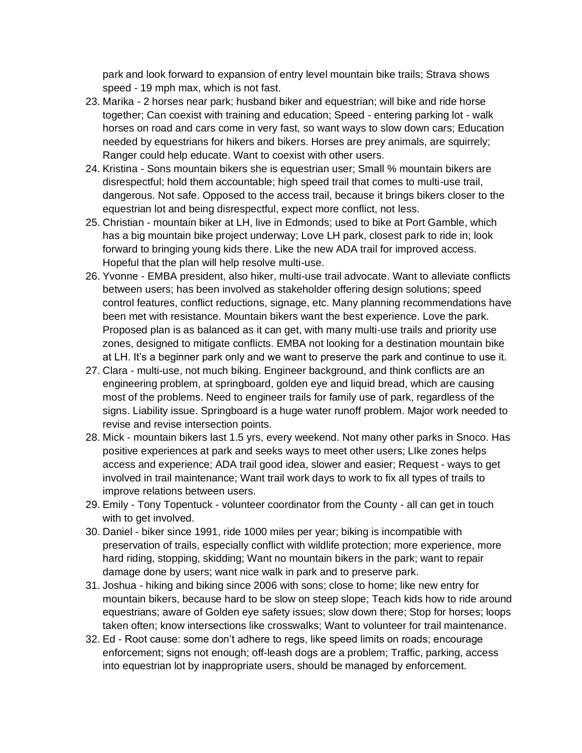park and look forward to expansion of entry level mountain bike trails; Strava shows speed - 19 mph max, which is not fast.

- 23. Marika 2 horses near park; husband biker and equestrian; will bike and ride horse together; Can coexist with training and education; Speed - entering parking lot - walk horses on road and cars come in very fast, so want ways to slow down cars; Education needed by equestrians for hikers and bikers. Horses are prey animals, are squirrely; Ranger could help educate. Want to coexist with other users.
- 24. Kristina Sons mountain bikers she is equestrian user; Small % mountain bikers are disrespectful; hold them accountable; high speed trail that comes to multi-use trail, dangerous. Not safe. Opposed to the access trail, because it brings bikers closer to the equestrian lot and being disrespectful, expect more conflict, not less.
- 25. Christian mountain biker at LH, live in Edmonds; used to bike at Port Gamble, which has a big mountain bike project underway; Love LH park, closest park to ride in; look forward to bringing young kids there. Like the new ADA trail for improved access. Hopeful that the plan will help resolve multi-use.
- 26. Yvonne EMBA president, also hiker, multi-use trail advocate. Want to alleviate conflicts between users; has been involved as stakeholder offering design solutions; speed control features, conflict reductions, signage, etc. Many planning recommendations have been met with resistance. Mountain bikers want the best experience. Love the park. Proposed plan is as balanced as it can get, with many multi-use trails and priority use zones, designed to mitigate conflicts. EMBA not looking for a destination mountain bike at LH. It's a beginner park only and we want to preserve the park and continue to use it.
- 27. Clara multi-use, not much biking. Engineer background, and think conflicts are an engineering problem, at springboard, golden eye and liquid bread, which are causing most of the problems. Need to engineer trails for family use of park, regardless of the signs. Liability issue. Springboard is a huge water runoff problem. Major work needed to revise and revise intersection points.
- 28. Mick mountain bikers last 1.5 yrs, every weekend. Not many other parks in Snoco. Has positive experiences at park and seeks ways to meet other users; LIke zones helps access and experience; ADA trail good idea, slower and easier; Request - ways to get involved in trail maintenance; Want trail work days to work to fix all types of trails to improve relations between users.
- 29. Emily Tony Topentuck volunteer coordinator from the County all can get in touch with to get involved.
- 30. Daniel biker since 1991, ride 1000 miles per year; biking is incompatible with preservation of trails, especially conflict with wildlife protection; more experience, more hard riding, stopping, skidding; Want no mountain bikers in the park; want to repair damage done by users; want nice walk in park and to preserve park.
- 31. Joshua hiking and biking since 2006 with sons; close to home; like new entry for mountain bikers, because hard to be slow on steep slope; Teach kids how to ride around equestrians; aware of Golden eye safety issues; slow down there; Stop for horses; loops taken often; know intersections like crosswalks; Want to volunteer for trail maintenance.
- 32. Ed Root cause: some don't adhere to regs, like speed limits on roads; encourage enforcement; signs not enough; off-leash dogs are a problem; Traffic, parking, access into equestrian lot by inappropriate users, should be managed by enforcement.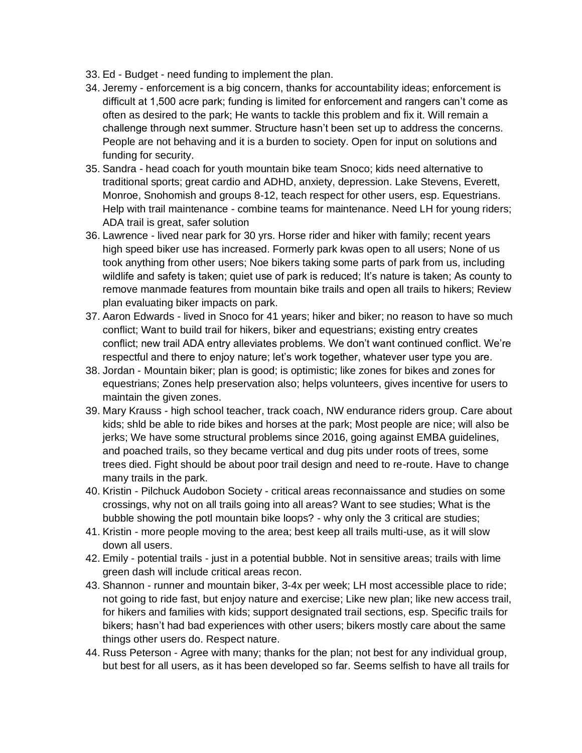- 33. Ed Budget need funding to implement the plan.
- 34. Jeremy enforcement is a big concern, thanks for accountability ideas; enforcement is difficult at 1,500 acre park; funding is limited for enforcement and rangers can't come as often as desired to the park; He wants to tackle this problem and fix it. Will remain a challenge through next summer. Structure hasn't been set up to address the concerns. People are not behaving and it is a burden to society. Open for input on solutions and funding for security.
- 35. Sandra head coach for youth mountain bike team Snoco; kids need alternative to traditional sports; great cardio and ADHD, anxiety, depression. Lake Stevens, Everett, Monroe, Snohomish and groups 8-12, teach respect for other users, esp. Equestrians. Help with trail maintenance - combine teams for maintenance. Need LH for young riders; ADA trail is great, safer solution
- 36. Lawrence lived near park for 30 yrs. Horse rider and hiker with family; recent years high speed biker use has increased. Formerly park kwas open to all users; None of us took anything from other users; Noe bikers taking some parts of park from us, including wildlife and safety is taken; quiet use of park is reduced; It's nature is taken; As county to remove manmade features from mountain bike trails and open all trails to hikers; Review plan evaluating biker impacts on park.
- 37. Aaron Edwards lived in Snoco for 41 years; hiker and biker; no reason to have so much conflict; Want to build trail for hikers, biker and equestrians; existing entry creates conflict; new trail ADA entry alleviates problems. We don't want continued conflict. We're respectful and there to enjoy nature; let's work together, whatever user type you are.
- 38. Jordan Mountain biker; plan is good; is optimistic; like zones for bikes and zones for equestrians; Zones help preservation also; helps volunteers, gives incentive for users to maintain the given zones.
- 39. Mary Krauss high school teacher, track coach, NW endurance riders group. Care about kids; shld be able to ride bikes and horses at the park; Most people are nice; will also be jerks; We have some structural problems since 2016, going against EMBA guidelines, and poached trails, so they became vertical and dug pits under roots of trees, some trees died. Fight should be about poor trail design and need to re-route. Have to change many trails in the park.
- 40. Kristin Pilchuck Audobon Society critical areas reconnaissance and studies on some crossings, why not on all trails going into all areas? Want to see studies; What is the bubble showing the potl mountain bike loops? - why only the 3 critical are studies;
- 41. Kristin more people moving to the area; best keep all trails multi-use, as it will slow down all users.
- 42. Emily potential trails just in a potential bubble. Not in sensitive areas; trails with lime green dash will include critical areas recon.
- 43. Shannon runner and mountain biker, 3-4x per week; LH most accessible place to ride; not going to ride fast, but enjoy nature and exercise; Like new plan; like new access trail, for hikers and families with kids; support designated trail sections, esp. Specific trails for bikers; hasn't had bad experiences with other users; bikers mostly care about the same things other users do. Respect nature.
- 44. Russ Peterson Agree with many; thanks for the plan; not best for any individual group, but best for all users, as it has been developed so far. Seems selfish to have all trails for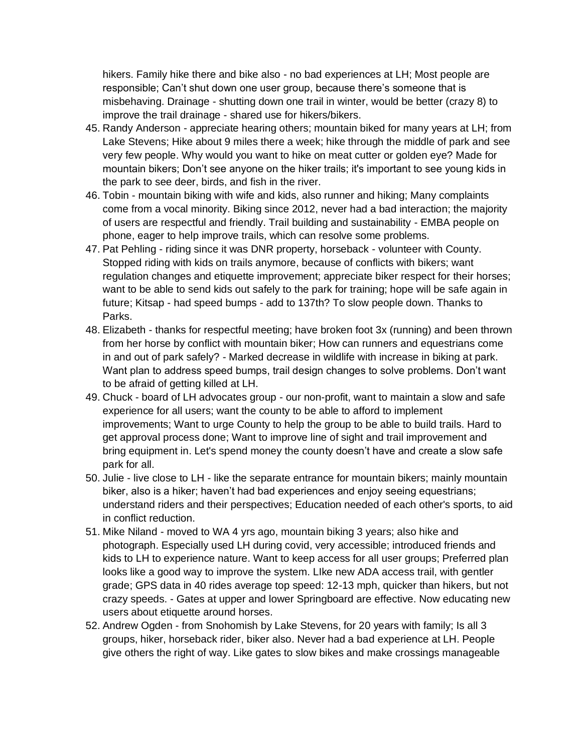hikers. Family hike there and bike also - no bad experiences at LH; Most people are responsible; Can't shut down one user group, because there's someone that is misbehaving. Drainage - shutting down one trail in winter, would be better (crazy 8) to improve the trail drainage - shared use for hikers/bikers.

- 45. Randy Anderson appreciate hearing others; mountain biked for many years at LH; from Lake Stevens; Hike about 9 miles there a week; hike through the middle of park and see very few people. Why would you want to hike on meat cutter or golden eye? Made for mountain bikers; Don't see anyone on the hiker trails; it's important to see young kids in the park to see deer, birds, and fish in the river.
- 46. Tobin mountain biking with wife and kids, also runner and hiking; Many complaints come from a vocal minority. Biking since 2012, never had a bad interaction; the majority of users are respectful and friendly. Trail building and sustainability - EMBA people on phone, eager to help improve trails, which can resolve some problems.
- 47. Pat Pehling riding since it was DNR property, horseback volunteer with County. Stopped riding with kids on trails anymore, because of conflicts with bikers; want regulation changes and etiquette improvement; appreciate biker respect for their horses; want to be able to send kids out safely to the park for training; hope will be safe again in future; Kitsap - had speed bumps - add to 137th? To slow people down. Thanks to Parks.
- 48. Elizabeth thanks for respectful meeting; have broken foot 3x (running) and been thrown from her horse by conflict with mountain biker; How can runners and equestrians come in and out of park safely? - Marked decrease in wildlife with increase in biking at park. Want plan to address speed bumps, trail design changes to solve problems. Don't want to be afraid of getting killed at LH.
- 49. Chuck board of LH advocates group our non-profit, want to maintain a slow and safe experience for all users; want the county to be able to afford to implement improvements; Want to urge County to help the group to be able to build trails. Hard to get approval process done; Want to improve line of sight and trail improvement and bring equipment in. Let's spend money the county doesn't have and create a slow safe park for all.
- 50. Julie live close to LH like the separate entrance for mountain bikers; mainly mountain biker, also is a hiker; haven't had bad experiences and enjoy seeing equestrians; understand riders and their perspectives; Education needed of each other's sports, to aid in conflict reduction.
- 51. Mike Niland moved to WA 4 yrs ago, mountain biking 3 years; also hike and photograph. Especially used LH during covid, very accessible; introduced friends and kids to LH to experience nature. Want to keep access for all user groups; Preferred plan looks like a good way to improve the system. LIke new ADA access trail, with gentler grade; GPS data in 40 rides average top speed: 12-13 mph, quicker than hikers, but not crazy speeds. - Gates at upper and lower Springboard are effective. Now educating new users about etiquette around horses.
- 52. Andrew Ogden from Snohomish by Lake Stevens, for 20 years with family; Is all 3 groups, hiker, horseback rider, biker also. Never had a bad experience at LH. People give others the right of way. Like gates to slow bikes and make crossings manageable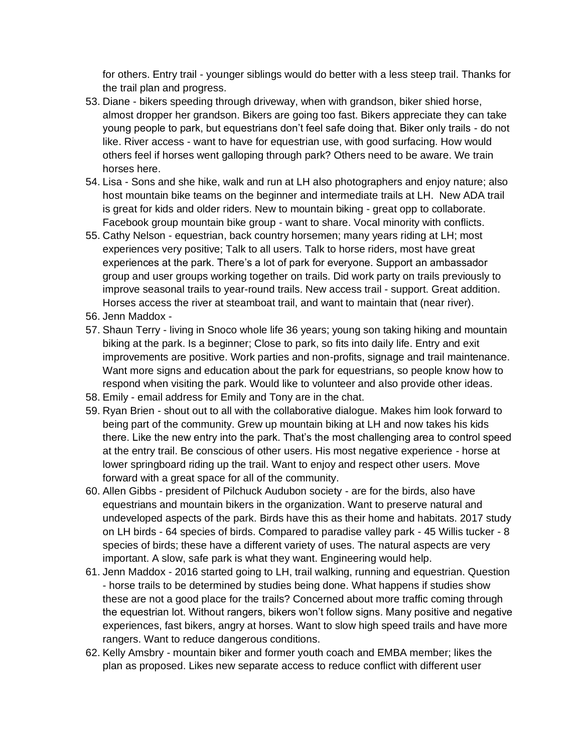for others. Entry trail - younger siblings would do better with a less steep trail. Thanks for the trail plan and progress.

- 53. Diane bikers speeding through driveway, when with grandson, biker shied horse, almost dropper her grandson. Bikers are going too fast. Bikers appreciate they can take young people to park, but equestrians don't feel safe doing that. Biker only trails - do not like. River access - want to have for equestrian use, with good surfacing. How would others feel if horses went galloping through park? Others need to be aware. We train horses here.
- 54. Lisa Sons and she hike, walk and run at LH also photographers and enjoy nature; also host mountain bike teams on the beginner and intermediate trails at LH. New ADA trail is great for kids and older riders. New to mountain biking - great opp to collaborate. Facebook group mountain bike group - want to share. Vocal minority with conflicts.
- 55. Cathy Nelson equestrian, back country horsemen; many years riding at LH; most experiences very positive; Talk to all users. Talk to horse riders, most have great experiences at the park. There's a lot of park for everyone. Support an ambassador group and user groups working together on trails. Did work party on trails previously to improve seasonal trails to year-round trails. New access trail - support. Great addition. Horses access the river at steamboat trail, and want to maintain that (near river).
- 56. Jenn Maddox -
- 57. Shaun Terry living in Snoco whole life 36 years; young son taking hiking and mountain biking at the park. Is a beginner; Close to park, so fits into daily life. Entry and exit improvements are positive. Work parties and non-profits, signage and trail maintenance. Want more signs and education about the park for equestrians, so people know how to respond when visiting the park. Would like to volunteer and also provide other ideas.
- 58. Emily email address for Emily and Tony are in the chat.
- 59. Ryan Brien shout out to all with the collaborative dialogue. Makes him look forward to being part of the community. Grew up mountain biking at LH and now takes his kids there. Like the new entry into the park. That's the most challenging area to control speed at the entry trail. Be conscious of other users. His most negative experience - horse at lower springboard riding up the trail. Want to enjoy and respect other users. Move forward with a great space for all of the community.
- 60. Allen Gibbs president of Pilchuck Audubon society are for the birds, also have equestrians and mountain bikers in the organization. Want to preserve natural and undeveloped aspects of the park. Birds have this as their home and habitats. 2017 study on LH birds - 64 species of birds. Compared to paradise valley park - 45 Willis tucker - 8 species of birds; these have a different variety of uses. The natural aspects are very important. A slow, safe park is what they want. Engineering would help.
- 61. Jenn Maddox 2016 started going to LH, trail walking, running and equestrian. Question - horse trails to be determined by studies being done. What happens if studies show these are not a good place for the trails? Concerned about more traffic coming through the equestrian lot. Without rangers, bikers won't follow signs. Many positive and negative experiences, fast bikers, angry at horses. Want to slow high speed trails and have more rangers. Want to reduce dangerous conditions.
- 62. Kelly Amsbry mountain biker and former youth coach and EMBA member; likes the plan as proposed. Likes new separate access to reduce conflict with different user